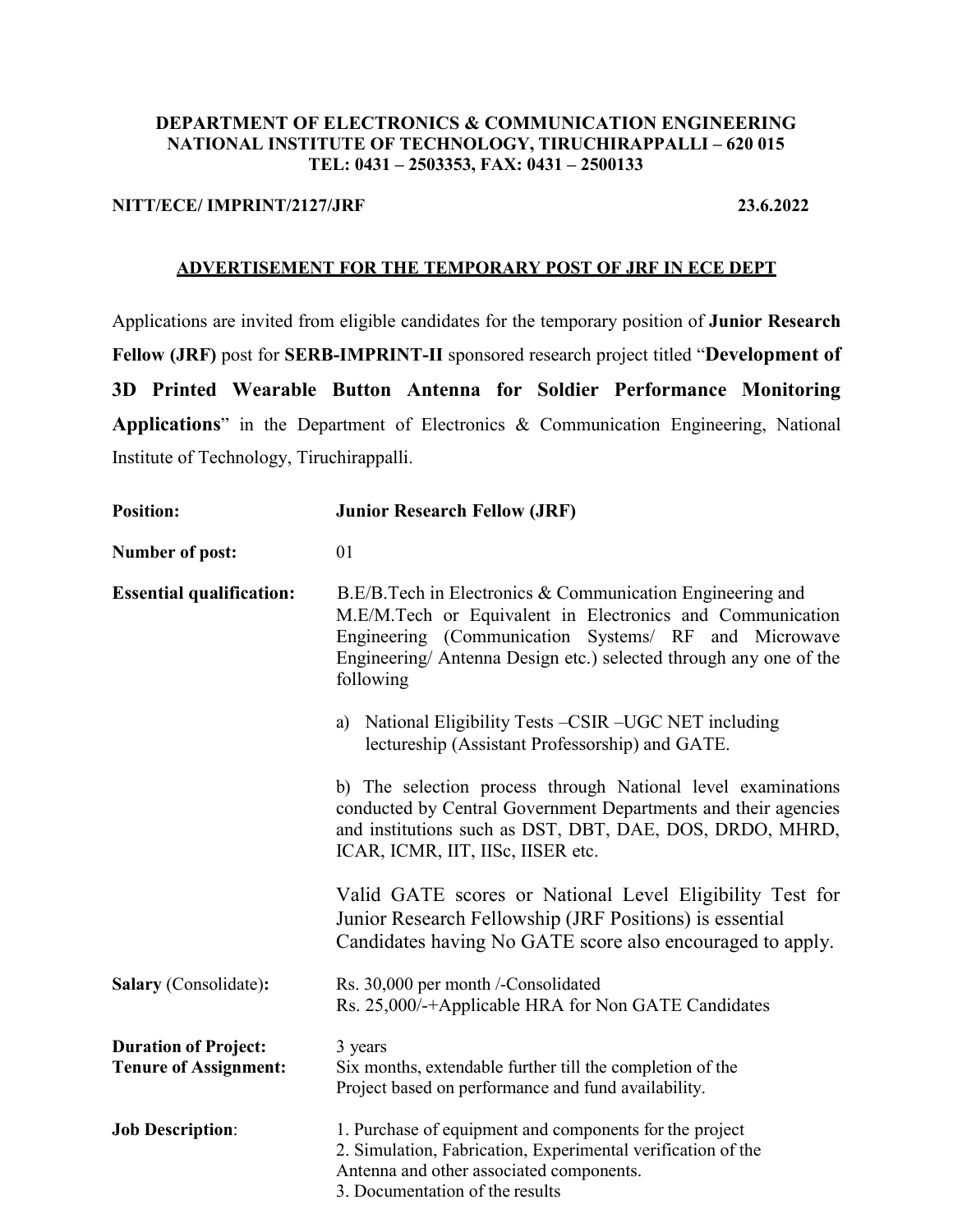#### **DEPARTMENT OF ELECTRONICS & COMMUNICATION ENGINEERING NATIONAL INSTITUTE OF TECHNOLOGY, TIRUCHIRAPPALLI – 620 015 TEL: 0431 – 2503353, FAX: 0431 – 2500133**

### **NITT/ECE/ IMPRINT/2127/JRF 23.6.2022**

#### **ADVERTISEMENT FOR THE TEMPORARY POST OF JRF IN ECE DEPT**

Applications are invited from eligible candidates for the temporary position of **Junior Research Fellow (JRF)** post for **SERB-IMPRINT-II** sponsored research project titled "**Development of 3D Printed Wearable Button Antenna for Soldier Performance Monitoring Applications**" in the Department of Electronics & Communication Engineering, National Institute of Technology, Tiruchirappalli.

| <b>Position:</b>                                            | <b>Junior Research Fellow (JRF)</b>                                                                                                                                                                                                                              |
|-------------------------------------------------------------|------------------------------------------------------------------------------------------------------------------------------------------------------------------------------------------------------------------------------------------------------------------|
| <b>Number of post:</b>                                      | 01                                                                                                                                                                                                                                                               |
| <b>Essential qualification:</b>                             | B.E/B.Tech in Electronics & Communication Engineering and<br>M.E/M.Tech or Equivalent in Electronics and Communication<br>Engineering (Communication Systems/ RF and Microwave<br>Engineering/ Antenna Design etc.) selected through any one of the<br>following |
|                                                             | National Eligibility Tests - CSIR - UGC NET including<br>a)<br>lectureship (Assistant Professorship) and GATE.                                                                                                                                                   |
|                                                             | b) The selection process through National level examinations<br>conducted by Central Government Departments and their agencies<br>and institutions such as DST, DBT, DAE, DOS, DRDO, MHRD,<br>ICAR, ICMR, IIT, IISc, IISER etc.                                  |
|                                                             | Valid GATE scores or National Level Eligibility Test for<br>Junior Research Fellowship (JRF Positions) is essential<br>Candidates having No GATE score also encouraged to apply.                                                                                 |
| <b>Salary</b> (Consolidate):                                | Rs. 30,000 per month /-Consolidated<br>Rs. 25,000/-+Applicable HRA for Non GATE Candidates                                                                                                                                                                       |
| <b>Duration of Project:</b><br><b>Tenure of Assignment:</b> | 3 years<br>Six months, extendable further till the completion of the<br>Project based on performance and fund availability.                                                                                                                                      |
| <b>Job Description:</b>                                     | 1. Purchase of equipment and components for the project<br>2. Simulation, Fabrication, Experimental verification of the<br>Antenna and other associated components.<br>3. Documentation of the results                                                           |